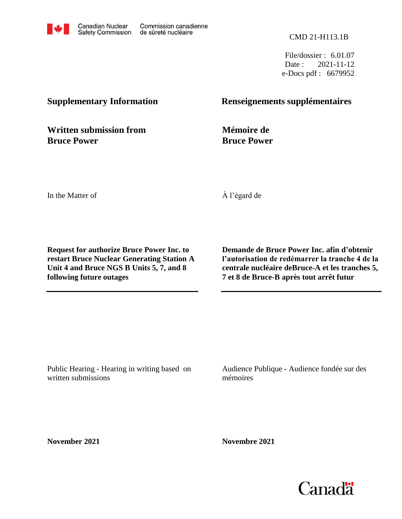

CMD 21-H113.1B

File/dossier : 6.01.07 Date: 2021-11-12 e-Docs pdf : 6679952

## **Supplementary Information Renseignements supplémentaires**

**Written submission from Bruce Power**

**Mémoire de Bruce Power**

In the Matter of

À l'égard de

**Request for authorize Bruce Power Inc. to restart Bruce Nuclear Generating Station A Unit 4 and Bruce NGS B Units 5, 7, and 8 following future outages**

**Demande de Bruce Power Inc. afin d'obtenir l'autorisation de redémarrer la tranche 4 de la centrale nucléaire deBruce-A et les tranches 5, 7 et 8 de Bruce-B après tout arrêt futur**

Public Hearing - Hearing in writing based on written submissions

Audience Publique - Audience fondée sur des mémoires

**November 2021**

**Novembre 2021**